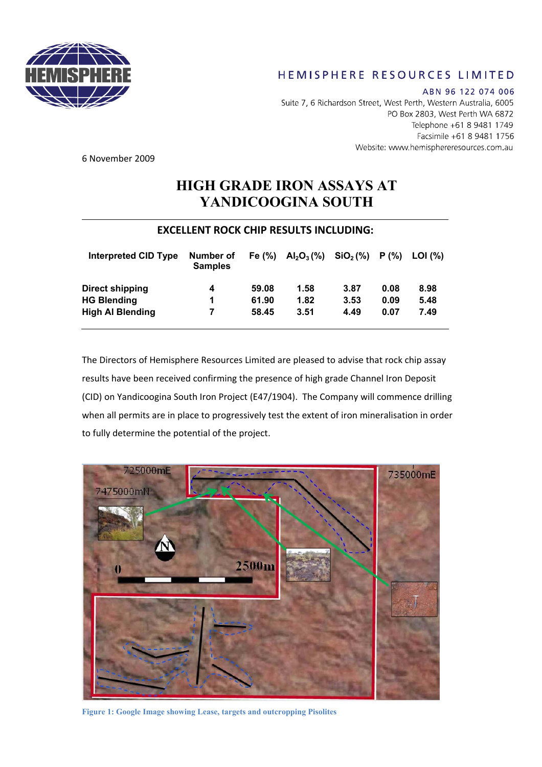

## HEMISPHERE RESOURCES LIMITED

ABN 96 122 074 006 Suite 7, 6 Richardson Street, West Perth, Western Australia, 6005 PO Box 2803, West Perth WA 6872 Telephone +61 8 9481 1749 Facsimile +61 8 9481 1756 Website: www.hemisphereresources.com.au

6 November 2009

## **HIGH GRADE IRON ASSAYS AT YANDICOOGINA SOUTH**

## **EXCELLENT ROCK CHIP RESULTS INCLUDING:**

| Interpreted CID Type    | Number of<br><b>Samples</b> | Fe $(\%)$ | $Al_2O_3(\%)$ | SiO <sub>2</sub> (%) | P(% ) | LOI (%) |
|-------------------------|-----------------------------|-----------|---------------|----------------------|-------|---------|
| <b>Direct shipping</b>  | 4                           | 59.08     | 1.58          | 3.87                 | 0.08  | 8.98    |
| <b>HG Blending</b>      | 1                           | 61.90     | 1.82          | 3.53                 | 0.09  | 5.48    |
| <b>High Al Blending</b> | 7                           | 58.45     | 3.51          | 4.49                 | 0.07  | 7.49    |

The Directors of Hemisphere Resources Limited are pleased to advise that rock chip assay results have been received confirming the presence of high grade Channel Iron Deposit (CID) on Yandicoogina South Iron Project (E47/1904). The Company will commence drilling when all permits are in place to progressively test the extent of iron mineralisation in order to fully determine the potential of the project.



**Figure 1: Google Image showing Lease, targets and outcropping Pisolites**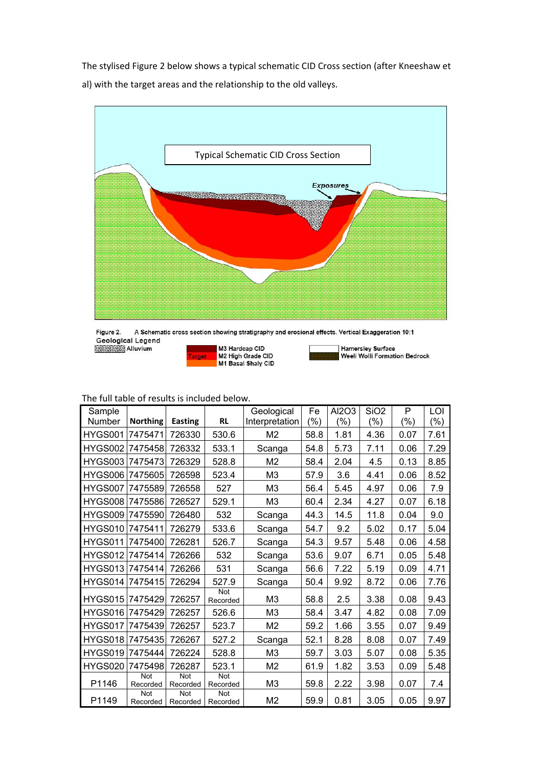The stylised Figure 2 below shows a typical schematic CID Cross section (after Kneeshaw et al) with the target areas and the relationship to the old valleys.



Figure 2. A Schematic cross section showing stratigraphy and erosional effects. Vertical Exaggeration 10:1

Geological Legend<br>Alluvium

M3 Hardcap CID<br>M2 High Grade CID<br>M1 Basal Shaly CID arget



| Hamersley Surface<br>| Weeli Wolli Formation Bedrock

## The full table of results is included below.

| Sample          |                        |                 |                        | Geological     | Fe            | Al2O3 | SiO <sub>2</sub> | P       | LOI     |
|-----------------|------------------------|-----------------|------------------------|----------------|---------------|-------|------------------|---------|---------|
| <b>Number</b>   | <b>Northing</b>        | Easting         | <b>RL</b>              | Interpretation | $\frac{9}{6}$ | (%)   | $(\% )$          | $(\% )$ | $(\% )$ |
| HYGS001         | 7475471                | 726330          | 530.6                  | M <sub>2</sub> | 58.8          | 1.81  | 4.36             | 0.07    | 7.61    |
| HYGS002         | 7475458                | 726332          | 533.1                  | Scanga         | 54.8          | 5.73  | 7.11             | 0.06    | 7.29    |
| HYGS003         | 7475473                | 726329          | 528.8                  | M <sub>2</sub> | 58.4          | 2.04  | 4.5              | 0.13    | 8.85    |
| HYGS006         | 7475605                | 726598          | 523.4                  | M <sub>3</sub> | 57.9          | 3.6   | 4.41             | 0.06    | 8.52    |
| HYGS007         | 7475589                | 726558          | 527                    | M <sub>3</sub> | 56.4          | 5.45  | 4.97             | 0.06    | 7.9     |
| HYGS008         | 7475586                | 726527          | 529.1                  | M <sub>3</sub> | 60.4          | 2.34  | 4.27             | 0.07    | 6.18    |
| HYGS009         | 7475590                | 726480          | 532                    | Scanga         | 44.3          | 14.5  | 11.8             | 0.04    | 9.0     |
| HYGS010         | 7475411                | 726279          | 533.6                  | Scanga         | 54.7          | 9.2   | 5.02             | 0.17    | 5.04    |
| HYGS011         | 7475400                | 726281          | 526.7                  | Scanga         | 54.3          | 9.57  | 5.48             | 0.06    | 4.58    |
| HYGS012         | 7475414                | 726266          | 532                    | Scanga         | 53.6          | 9.07  | 6.71             | 0.05    | 5.48    |
| HYGS013 7475414 |                        | 726266          | 531                    | Scanga         | 56.6          | 7.22  | 5.19             | 0.09    | 4.71    |
| HYGS014         | 7475415                | 726294          | 527.9                  | Scanga         | 50.4          | 9.92  | 8.72             | 0.06    | 7.76    |
| HYGS015 7475429 |                        | 726257          | Not<br>Recorded        | M <sub>3</sub> | 58.8          | 2.5   | 3.38             | 0.08    | 9.43    |
| HYGS016         | 7475429                | 726257          | 526.6                  | M <sub>3</sub> | 58.4          | 3.47  | 4.82             | 0.08    | 7.09    |
| HYGS017         | 7475439                | 726257          | 523.7                  | M <sub>2</sub> | 59.2          | 1.66  | 3.55             | 0.07    | 9.49    |
| HYGS018         | 7475435                | 726267          | 527.2                  | Scanga         | 52.1          | 8.28  | 8.08             | 0.07    | 7.49    |
| HYGS019 7475444 |                        | 726224          | 528.8                  | M <sub>3</sub> | 59.7          | 3.03  | 5.07             | 0.08    | 5.35    |
| HYGS020         | 7475498                | 726287          | 523.1                  | M <sub>2</sub> | 61.9          | 1.82  | 3.53             | 0.09    | 5.48    |
| P1146           | <b>Not</b><br>Recorded | Not<br>Recorded | Not<br>Recorded        | M <sub>3</sub> | 59.8          | 2.22  | 3.98             | 0.07    | 7.4     |
| P1149           | Not<br>Recorded        | Not<br>Recorded | <b>Not</b><br>Recorded | M <sub>2</sub> | 59.9          | 0.81  | 3.05             | 0.05    | 9.97    |